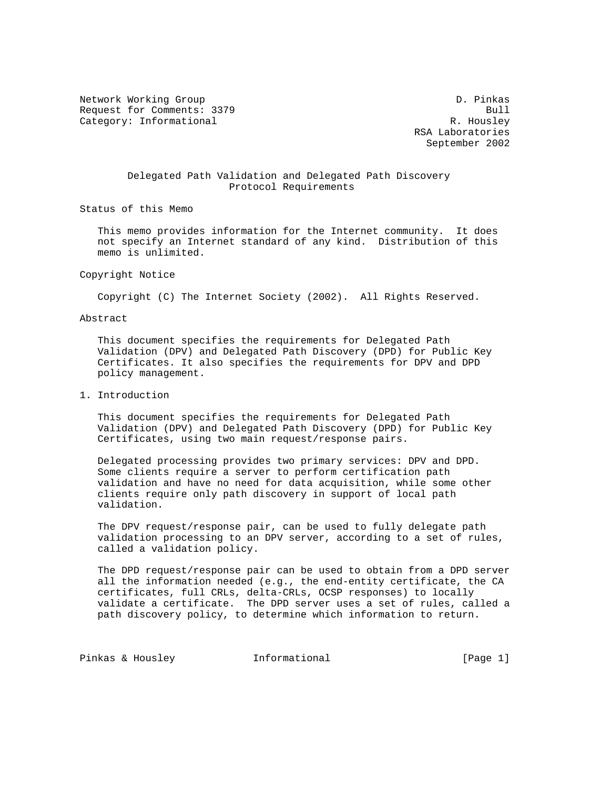Network Working Group D. Pinkas Request for Comments: 3379 Bull Category: Informational R. Housley

 RSA Laboratories September 2002

# Delegated Path Validation and Delegated Path Discovery Protocol Requirements

Status of this Memo

 This memo provides information for the Internet community. It does not specify an Internet standard of any kind. Distribution of this memo is unlimited.

### Copyright Notice

Copyright (C) The Internet Society (2002). All Rights Reserved.

## Abstract

 This document specifies the requirements for Delegated Path Validation (DPV) and Delegated Path Discovery (DPD) for Public Key Certificates. It also specifies the requirements for DPV and DPD policy management.

## 1. Introduction

 This document specifies the requirements for Delegated Path Validation (DPV) and Delegated Path Discovery (DPD) for Public Key Certificates, using two main request/response pairs.

 Delegated processing provides two primary services: DPV and DPD. Some clients require a server to perform certification path validation and have no need for data acquisition, while some other clients require only path discovery in support of local path validation.

 The DPV request/response pair, can be used to fully delegate path validation processing to an DPV server, according to a set of rules, called a validation policy.

 The DPD request/response pair can be used to obtain from a DPD server all the information needed (e.g., the end-entity certificate, the CA certificates, full CRLs, delta-CRLs, OCSP responses) to locally validate a certificate. The DPD server uses a set of rules, called a path discovery policy, to determine which information to return.

Pinkas & Housley **Informational** [Page 1]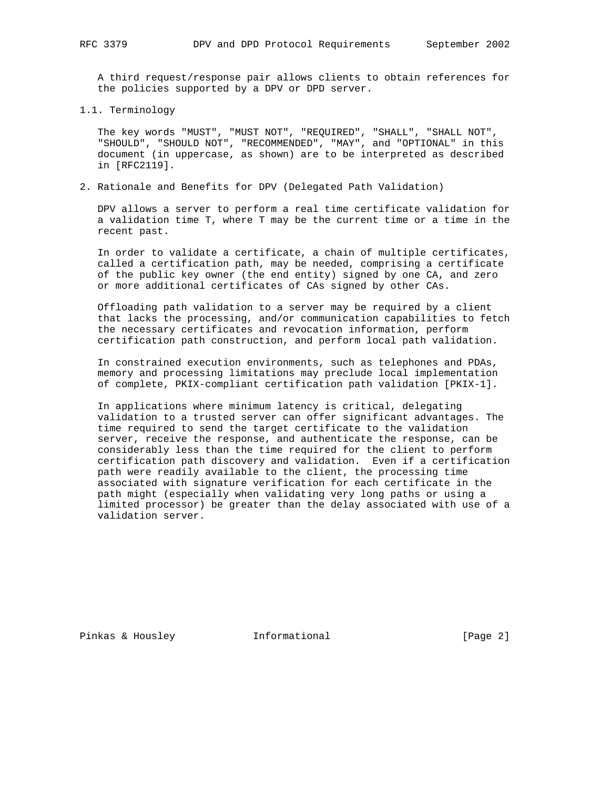A third request/response pair allows clients to obtain references for the policies supported by a DPV or DPD server.

1.1. Terminology

 The key words "MUST", "MUST NOT", "REQUIRED", "SHALL", "SHALL NOT", "SHOULD", "SHOULD NOT", "RECOMMENDED", "MAY", and "OPTIONAL" in this document (in uppercase, as shown) are to be interpreted as described in [RFC2119].

2. Rationale and Benefits for DPV (Delegated Path Validation)

 DPV allows a server to perform a real time certificate validation for a validation time T, where T may be the current time or a time in the recent past.

 In order to validate a certificate, a chain of multiple certificates, called a certification path, may be needed, comprising a certificate of the public key owner (the end entity) signed by one CA, and zero or more additional certificates of CAs signed by other CAs.

 Offloading path validation to a server may be required by a client that lacks the processing, and/or communication capabilities to fetch the necessary certificates and revocation information, perform certification path construction, and perform local path validation.

 In constrained execution environments, such as telephones and PDAs, memory and processing limitations may preclude local implementation of complete, PKIX-compliant certification path validation [PKIX-1].

 In applications where minimum latency is critical, delegating validation to a trusted server can offer significant advantages. The time required to send the target certificate to the validation server, receive the response, and authenticate the response, can be considerably less than the time required for the client to perform certification path discovery and validation. Even if a certification path were readily available to the client, the processing time associated with signature verification for each certificate in the path might (especially when validating very long paths or using a limited processor) be greater than the delay associated with use of a validation server.

Pinkas & Housley **Informational** [Page 2]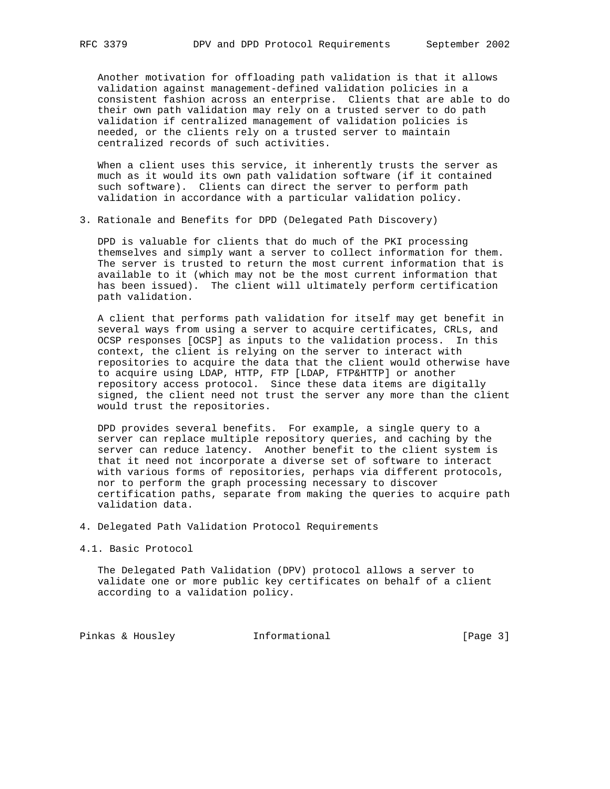Another motivation for offloading path validation is that it allows validation against management-defined validation policies in a consistent fashion across an enterprise. Clients that are able to do their own path validation may rely on a trusted server to do path validation if centralized management of validation policies is needed, or the clients rely on a trusted server to maintain centralized records of such activities.

 When a client uses this service, it inherently trusts the server as much as it would its own path validation software (if it contained such software). Clients can direct the server to perform path validation in accordance with a particular validation policy.

3. Rationale and Benefits for DPD (Delegated Path Discovery)

 DPD is valuable for clients that do much of the PKI processing themselves and simply want a server to collect information for them. The server is trusted to return the most current information that is available to it (which may not be the most current information that has been issued). The client will ultimately perform certification path validation.

 A client that performs path validation for itself may get benefit in several ways from using a server to acquire certificates, CRLs, and OCSP responses [OCSP] as inputs to the validation process. In this context, the client is relying on the server to interact with repositories to acquire the data that the client would otherwise have to acquire using LDAP, HTTP, FTP [LDAP, FTP&HTTP] or another repository access protocol. Since these data items are digitally signed, the client need not trust the server any more than the client would trust the repositories.

 DPD provides several benefits. For example, a single query to a server can replace multiple repository queries, and caching by the server can reduce latency. Another benefit to the client system is that it need not incorporate a diverse set of software to interact with various forms of repositories, perhaps via different protocols, nor to perform the graph processing necessary to discover certification paths, separate from making the queries to acquire path validation data.

- 4. Delegated Path Validation Protocol Requirements
- 4.1. Basic Protocol

 The Delegated Path Validation (DPV) protocol allows a server to validate one or more public key certificates on behalf of a client according to a validation policy.

Pinkas & Housley **Informational** [Page 3]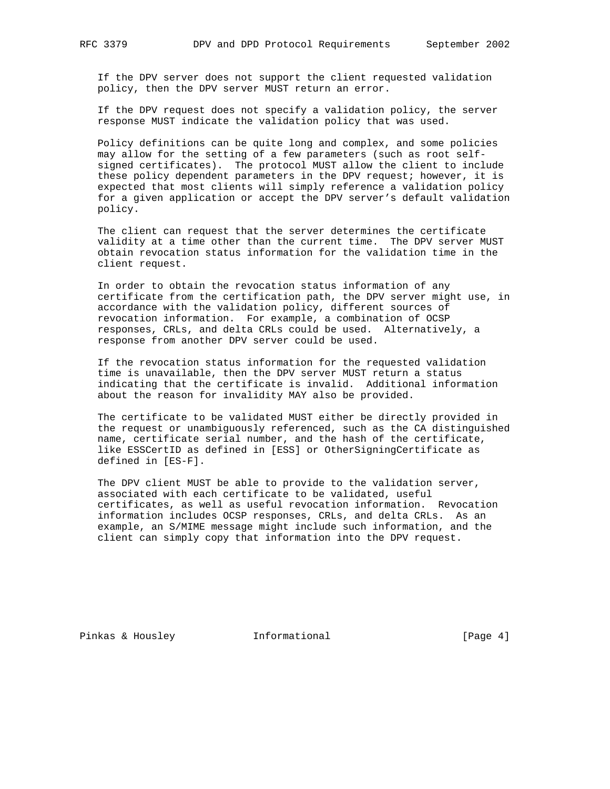If the DPV server does not support the client requested validation policy, then the DPV server MUST return an error.

 If the DPV request does not specify a validation policy, the server response MUST indicate the validation policy that was used.

 Policy definitions can be quite long and complex, and some policies may allow for the setting of a few parameters (such as root self signed certificates). The protocol MUST allow the client to include these policy dependent parameters in the DPV request; however, it is expected that most clients will simply reference a validation policy for a given application or accept the DPV server's default validation policy.

 The client can request that the server determines the certificate validity at a time other than the current time. The DPV server MUST obtain revocation status information for the validation time in the client request.

 In order to obtain the revocation status information of any certificate from the certification path, the DPV server might use, in accordance with the validation policy, different sources of revocation information. For example, a combination of OCSP responses, CRLs, and delta CRLs could be used. Alternatively, a response from another DPV server could be used.

 If the revocation status information for the requested validation time is unavailable, then the DPV server MUST return a status indicating that the certificate is invalid. Additional information about the reason for invalidity MAY also be provided.

 The certificate to be validated MUST either be directly provided in the request or unambiguously referenced, such as the CA distinguished name, certificate serial number, and the hash of the certificate, like ESSCertID as defined in [ESS] or OtherSigningCertificate as defined in [ES-F].

 The DPV client MUST be able to provide to the validation server, associated with each certificate to be validated, useful certificates, as well as useful revocation information. Revocation information includes OCSP responses, CRLs, and delta CRLs. As an example, an S/MIME message might include such information, and the client can simply copy that information into the DPV request.

Pinkas & Housley **Informational** [Page 4]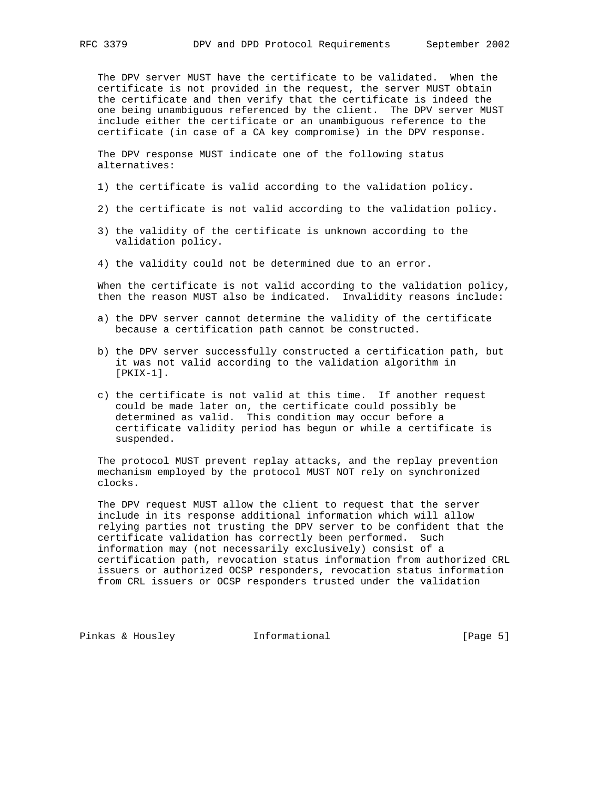The DPV server MUST have the certificate to be validated. When the certificate is not provided in the request, the server MUST obtain the certificate and then verify that the certificate is indeed the one being unambiguous referenced by the client. The DPV server MUST include either the certificate or an unambiguous reference to the certificate (in case of a CA key compromise) in the DPV response.

 The DPV response MUST indicate one of the following status alternatives:

- 1) the certificate is valid according to the validation policy.
- 2) the certificate is not valid according to the validation policy.
- 3) the validity of the certificate is unknown according to the validation policy.
- 4) the validity could not be determined due to an error.

 When the certificate is not valid according to the validation policy, then the reason MUST also be indicated. Invalidity reasons include:

- a) the DPV server cannot determine the validity of the certificate because a certification path cannot be constructed.
- b) the DPV server successfully constructed a certification path, but it was not valid according to the validation algorithm in [PKIX-1].
- c) the certificate is not valid at this time. If another request could be made later on, the certificate could possibly be determined as valid. This condition may occur before a certificate validity period has begun or while a certificate is suspended.

 The protocol MUST prevent replay attacks, and the replay prevention mechanism employed by the protocol MUST NOT rely on synchronized clocks.

 The DPV request MUST allow the client to request that the server include in its response additional information which will allow relying parties not trusting the DPV server to be confident that the certificate validation has correctly been performed. Such information may (not necessarily exclusively) consist of a certification path, revocation status information from authorized CRL issuers or authorized OCSP responders, revocation status information from CRL issuers or OCSP responders trusted under the validation

Pinkas & Housley **Informational** [Page 5]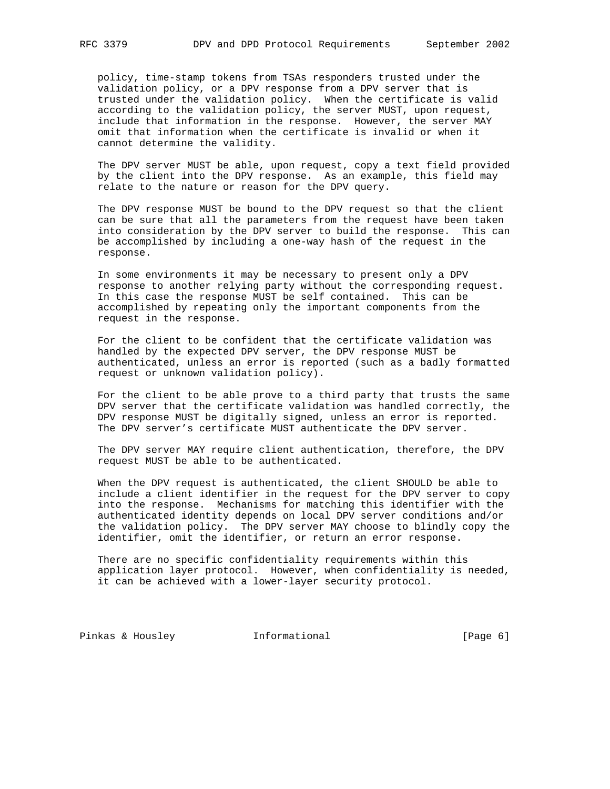policy, time-stamp tokens from TSAs responders trusted under the validation policy, or a DPV response from a DPV server that is trusted under the validation policy. When the certificate is valid according to the validation policy, the server MUST, upon request, include that information in the response. However, the server MAY omit that information when the certificate is invalid or when it cannot determine the validity.

 The DPV server MUST be able, upon request, copy a text field provided by the client into the DPV response. As an example, this field may relate to the nature or reason for the DPV query.

 The DPV response MUST be bound to the DPV request so that the client can be sure that all the parameters from the request have been taken into consideration by the DPV server to build the response. This can be accomplished by including a one-way hash of the request in the response.

 In some environments it may be necessary to present only a DPV response to another relying party without the corresponding request. In this case the response MUST be self contained. This can be accomplished by repeating only the important components from the request in the response.

 For the client to be confident that the certificate validation was handled by the expected DPV server, the DPV response MUST be authenticated, unless an error is reported (such as a badly formatted request or unknown validation policy).

 For the client to be able prove to a third party that trusts the same DPV server that the certificate validation was handled correctly, the DPV response MUST be digitally signed, unless an error is reported. The DPV server's certificate MUST authenticate the DPV server.

 The DPV server MAY require client authentication, therefore, the DPV request MUST be able to be authenticated.

 When the DPV request is authenticated, the client SHOULD be able to include a client identifier in the request for the DPV server to copy into the response. Mechanisms for matching this identifier with the authenticated identity depends on local DPV server conditions and/or the validation policy. The DPV server MAY choose to blindly copy the identifier, omit the identifier, or return an error response.

 There are no specific confidentiality requirements within this application layer protocol. However, when confidentiality is needed, it can be achieved with a lower-layer security protocol.

Pinkas & Housley **Informational** [Page 6]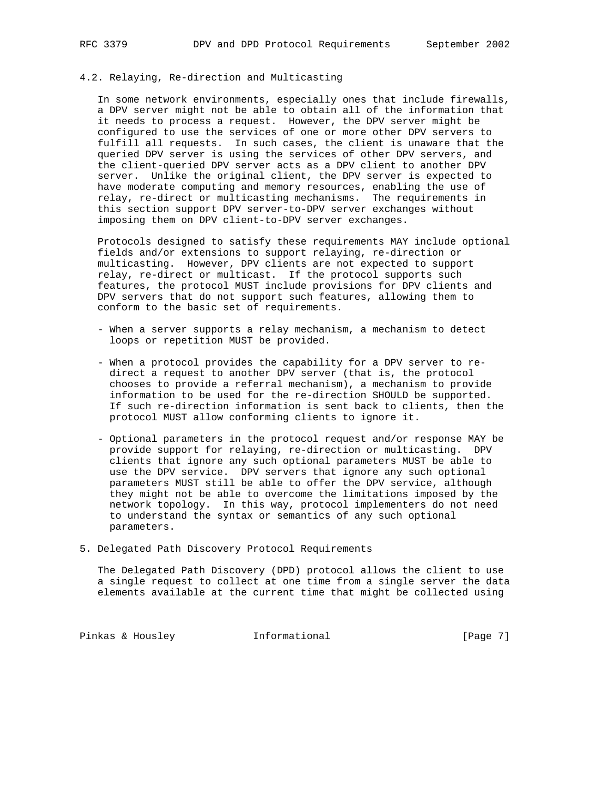## 4.2. Relaying, Re-direction and Multicasting

 In some network environments, especially ones that include firewalls, a DPV server might not be able to obtain all of the information that it needs to process a request. However, the DPV server might be configured to use the services of one or more other DPV servers to fulfill all requests. In such cases, the client is unaware that the queried DPV server is using the services of other DPV servers, and the client-queried DPV server acts as a DPV client to another DPV server. Unlike the original client, the DPV server is expected to have moderate computing and memory resources, enabling the use of relay, re-direct or multicasting mechanisms. The requirements in this section support DPV server-to-DPV server exchanges without imposing them on DPV client-to-DPV server exchanges.

 Protocols designed to satisfy these requirements MAY include optional fields and/or extensions to support relaying, re-direction or multicasting. However, DPV clients are not expected to support relay, re-direct or multicast. If the protocol supports such features, the protocol MUST include provisions for DPV clients and DPV servers that do not support such features, allowing them to conform to the basic set of requirements.

- When a server supports a relay mechanism, a mechanism to detect loops or repetition MUST be provided.
- When a protocol provides the capability for a DPV server to re direct a request to another DPV server (that is, the protocol chooses to provide a referral mechanism), a mechanism to provide information to be used for the re-direction SHOULD be supported. If such re-direction information is sent back to clients, then the protocol MUST allow conforming clients to ignore it.
- Optional parameters in the protocol request and/or response MAY be provide support for relaying, re-direction or multicasting. DPV clients that ignore any such optional parameters MUST be able to use the DPV service. DPV servers that ignore any such optional parameters MUST still be able to offer the DPV service, although they might not be able to overcome the limitations imposed by the network topology. In this way, protocol implementers do not need to understand the syntax or semantics of any such optional parameters.
- 5. Delegated Path Discovery Protocol Requirements

 The Delegated Path Discovery (DPD) protocol allows the client to use a single request to collect at one time from a single server the data elements available at the current time that might be collected using

Pinkas & Housley **Informational** [Page 7]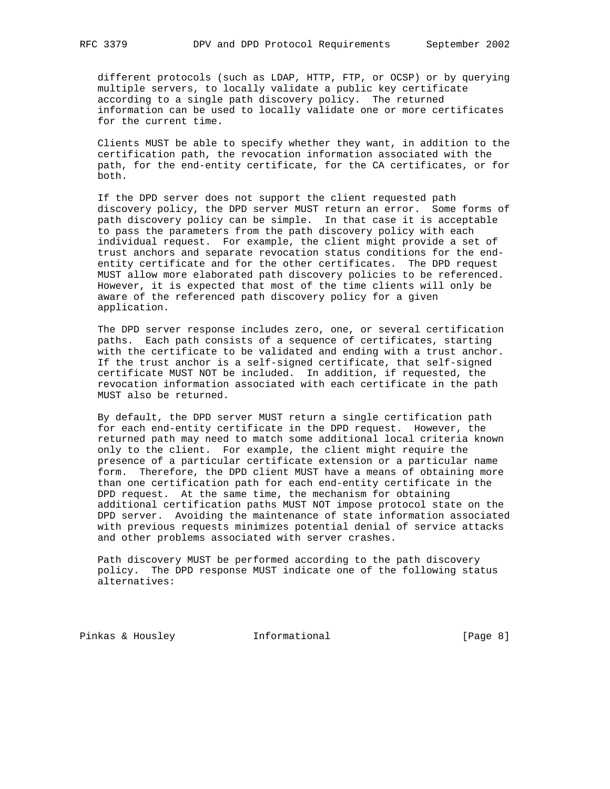different protocols (such as LDAP, HTTP, FTP, or OCSP) or by querying multiple servers, to locally validate a public key certificate according to a single path discovery policy. The returned information can be used to locally validate one or more certificates for the current time.

 Clients MUST be able to specify whether they want, in addition to the certification path, the revocation information associated with the path, for the end-entity certificate, for the CA certificates, or for both.

 If the DPD server does not support the client requested path discovery policy, the DPD server MUST return an error. Some forms of path discovery policy can be simple. In that case it is acceptable to pass the parameters from the path discovery policy with each individual request. For example, the client might provide a set of trust anchors and separate revocation status conditions for the end entity certificate and for the other certificates. The DPD request MUST allow more elaborated path discovery policies to be referenced. However, it is expected that most of the time clients will only be aware of the referenced path discovery policy for a given application.

 The DPD server response includes zero, one, or several certification paths. Each path consists of a sequence of certificates, starting with the certificate to be validated and ending with a trust anchor. If the trust anchor is a self-signed certificate, that self-signed certificate MUST NOT be included. In addition, if requested, the revocation information associated with each certificate in the path MUST also be returned.

 By default, the DPD server MUST return a single certification path for each end-entity certificate in the DPD request. However, the returned path may need to match some additional local criteria known only to the client. For example, the client might require the presence of a particular certificate extension or a particular name form. Therefore, the DPD client MUST have a means of obtaining more than one certification path for each end-entity certificate in the DPD request. At the same time, the mechanism for obtaining additional certification paths MUST NOT impose protocol state on the DPD server. Avoiding the maintenance of state information associated with previous requests minimizes potential denial of service attacks and other problems associated with server crashes.

 Path discovery MUST be performed according to the path discovery policy. The DPD response MUST indicate one of the following status alternatives:

Pinkas & Housley **Informational** [Page 8]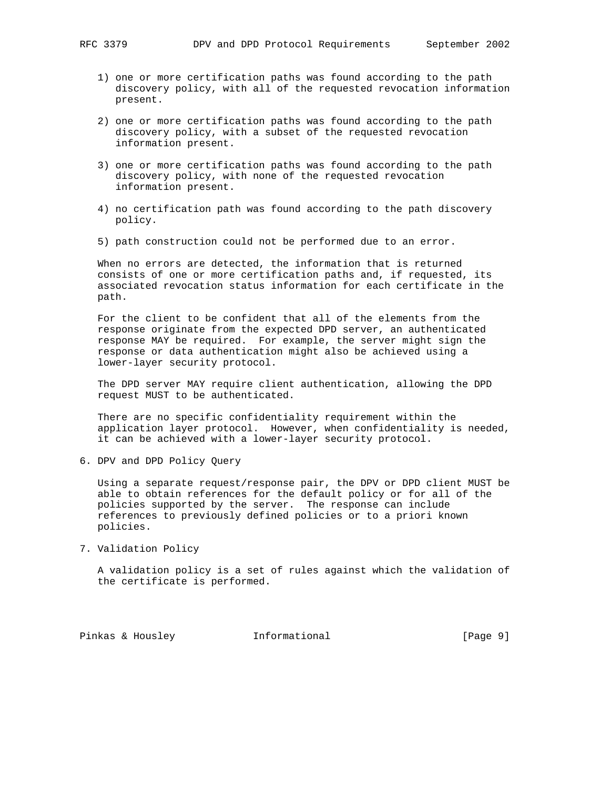- 1) one or more certification paths was found according to the path discovery policy, with all of the requested revocation information present.
- 2) one or more certification paths was found according to the path discovery policy, with a subset of the requested revocation information present.
- 3) one or more certification paths was found according to the path discovery policy, with none of the requested revocation information present.
- 4) no certification path was found according to the path discovery policy.
- 5) path construction could not be performed due to an error.

 When no errors are detected, the information that is returned consists of one or more certification paths and, if requested, its associated revocation status information for each certificate in the path.

 For the client to be confident that all of the elements from the response originate from the expected DPD server, an authenticated response MAY be required. For example, the server might sign the response or data authentication might also be achieved using a lower-layer security protocol.

 The DPD server MAY require client authentication, allowing the DPD request MUST to be authenticated.

 There are no specific confidentiality requirement within the application layer protocol. However, when confidentiality is needed, it can be achieved with a lower-layer security protocol.

6. DPV and DPD Policy Query

 Using a separate request/response pair, the DPV or DPD client MUST be able to obtain references for the default policy or for all of the policies supported by the server. The response can include references to previously defined policies or to a priori known policies.

7. Validation Policy

 A validation policy is a set of rules against which the validation of the certificate is performed.

Pinkas & Housley **Informational** [Page 9]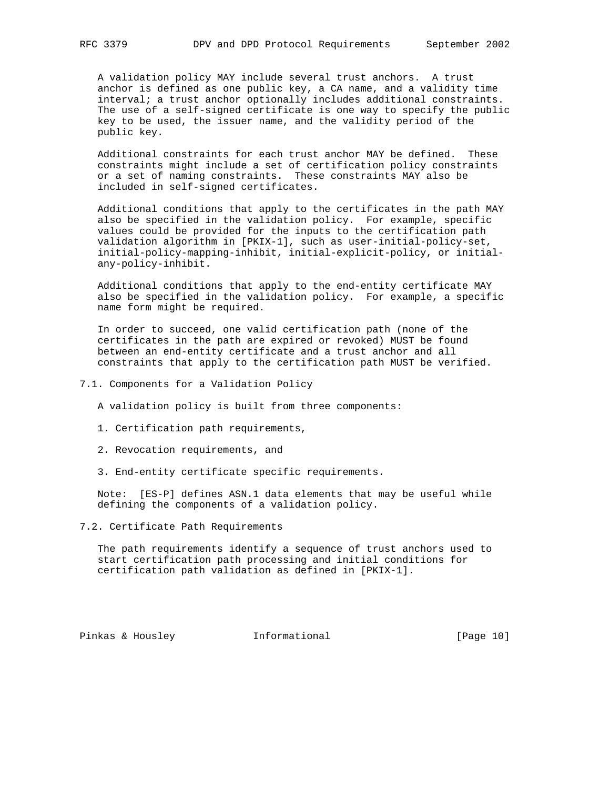A validation policy MAY include several trust anchors. A trust anchor is defined as one public key, a CA name, and a validity time interval; a trust anchor optionally includes additional constraints. The use of a self-signed certificate is one way to specify the public key to be used, the issuer name, and the validity period of the public key.

 Additional constraints for each trust anchor MAY be defined. These constraints might include a set of certification policy constraints or a set of naming constraints. These constraints MAY also be included in self-signed certificates.

 Additional conditions that apply to the certificates in the path MAY also be specified in the validation policy. For example, specific values could be provided for the inputs to the certification path validation algorithm in [PKIX-1], such as user-initial-policy-set, initial-policy-mapping-inhibit, initial-explicit-policy, or initial any-policy-inhibit.

 Additional conditions that apply to the end-entity certificate MAY also be specified in the validation policy. For example, a specific name form might be required.

 In order to succeed, one valid certification path (none of the certificates in the path are expired or revoked) MUST be found between an end-entity certificate and a trust anchor and all constraints that apply to the certification path MUST be verified.

7.1. Components for a Validation Policy

A validation policy is built from three components:

- 1. Certification path requirements,
- 2. Revocation requirements, and
- 3. End-entity certificate specific requirements.

 Note: [ES-P] defines ASN.1 data elements that may be useful while defining the components of a validation policy.

7.2. Certificate Path Requirements

 The path requirements identify a sequence of trust anchors used to start certification path processing and initial conditions for certification path validation as defined in [PKIX-1].

Pinkas & Housley **Informational** [Page 10]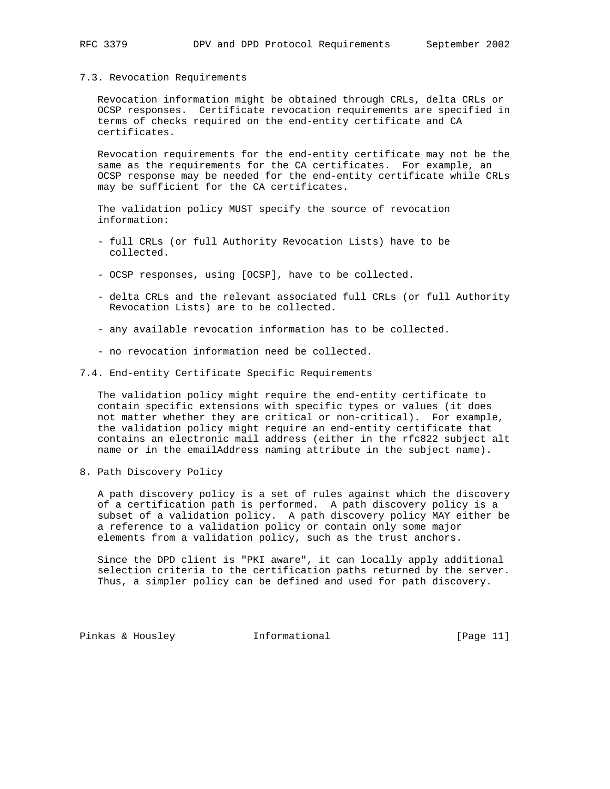## 7.3. Revocation Requirements

 Revocation information might be obtained through CRLs, delta CRLs or OCSP responses. Certificate revocation requirements are specified in terms of checks required on the end-entity certificate and CA certificates.

 Revocation requirements for the end-entity certificate may not be the same as the requirements for the CA certificates. For example, an OCSP response may be needed for the end-entity certificate while CRLs may be sufficient for the CA certificates.

 The validation policy MUST specify the source of revocation information:

- full CRLs (or full Authority Revocation Lists) have to be collected.
- OCSP responses, using [OCSP], have to be collected.
- delta CRLs and the relevant associated full CRLs (or full Authority Revocation Lists) are to be collected.
- any available revocation information has to be collected.
- no revocation information need be collected.
- 7.4. End-entity Certificate Specific Requirements

 The validation policy might require the end-entity certificate to contain specific extensions with specific types or values (it does not matter whether they are critical or non-critical). For example, the validation policy might require an end-entity certificate that contains an electronic mail address (either in the rfc822 subject alt name or in the emailAddress naming attribute in the subject name).

8. Path Discovery Policy

 A path discovery policy is a set of rules against which the discovery of a certification path is performed. A path discovery policy is a subset of a validation policy. A path discovery policy MAY either be a reference to a validation policy or contain only some major elements from a validation policy, such as the trust anchors.

 Since the DPD client is "PKI aware", it can locally apply additional selection criteria to the certification paths returned by the server. Thus, a simpler policy can be defined and used for path discovery.

Pinkas & Housley **Informational** [Page 11]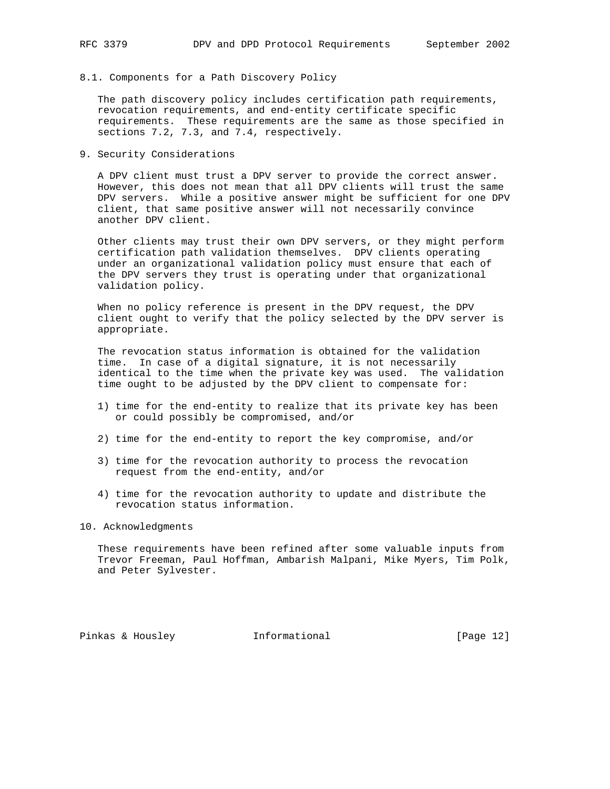8.1. Components for a Path Discovery Policy

 The path discovery policy includes certification path requirements, revocation requirements, and end-entity certificate specific requirements. These requirements are the same as those specified in sections 7.2, 7.3, and 7.4, respectively.

9. Security Considerations

 A DPV client must trust a DPV server to provide the correct answer. However, this does not mean that all DPV clients will trust the same DPV servers. While a positive answer might be sufficient for one DPV client, that same positive answer will not necessarily convince another DPV client.

 Other clients may trust their own DPV servers, or they might perform certification path validation themselves. DPV clients operating under an organizational validation policy must ensure that each of the DPV servers they trust is operating under that organizational validation policy.

 When no policy reference is present in the DPV request, the DPV client ought to verify that the policy selected by the DPV server is appropriate.

 The revocation status information is obtained for the validation time. In case of a digital signature, it is not necessarily identical to the time when the private key was used. The validation time ought to be adjusted by the DPV client to compensate for:

- 1) time for the end-entity to realize that its private key has been or could possibly be compromised, and/or
- 2) time for the end-entity to report the key compromise, and/or
- 3) time for the revocation authority to process the revocation request from the end-entity, and/or
- 4) time for the revocation authority to update and distribute the revocation status information.
- 10. Acknowledgments

 These requirements have been refined after some valuable inputs from Trevor Freeman, Paul Hoffman, Ambarish Malpani, Mike Myers, Tim Polk, and Peter Sylvester.

Pinkas & Housley **Informational** [Page 12]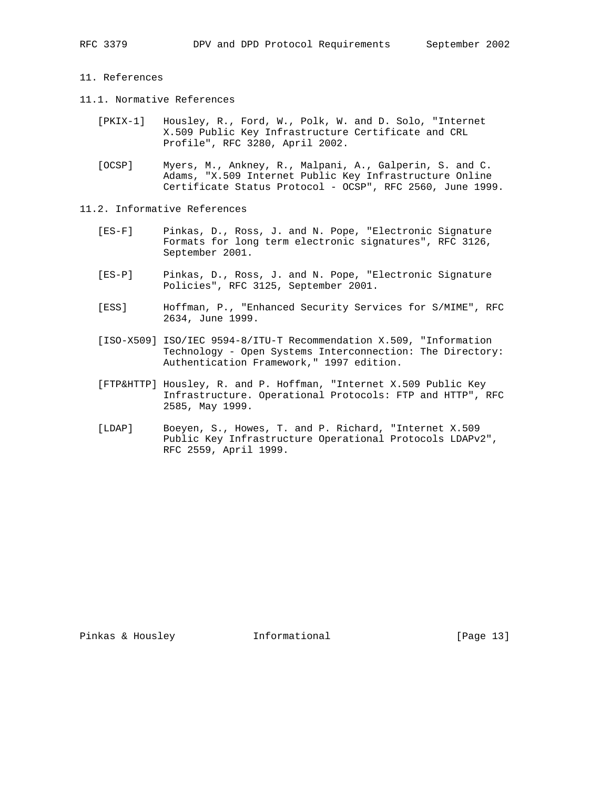- 11. References
- 11.1. Normative References
	- [PKIX-1] Housley, R., Ford, W., Polk, W. and D. Solo, "Internet X.509 Public Key Infrastructure Certificate and CRL Profile", RFC 3280, April 2002.
	- [OCSP] Myers, M., Ankney, R., Malpani, A., Galperin, S. and C. Adams, "X.509 Internet Public Key Infrastructure Online Certificate Status Protocol - OCSP", RFC 2560, June 1999.
- 11.2. Informative References
	- [ES-F] Pinkas, D., Ross, J. and N. Pope, "Electronic Signature Formats for long term electronic signatures", RFC 3126, September 2001.
	- [ES-P] Pinkas, D., Ross, J. and N. Pope, "Electronic Signature Policies", RFC 3125, September 2001.
	- [ESS] Hoffman, P., "Enhanced Security Services for S/MIME", RFC 2634, June 1999.
	- [ISO-X509] ISO/IEC 9594-8/ITU-T Recommendation X.509, "Information Technology - Open Systems Interconnection: The Directory: Authentication Framework," 1997 edition.
	- [FTP&HTTP] Housley, R. and P. Hoffman, "Internet X.509 Public Key Infrastructure. Operational Protocols: FTP and HTTP", RFC 2585, May 1999.
	- [LDAP] Boeyen, S., Howes, T. and P. Richard, "Internet X.509 Public Key Infrastructure Operational Protocols LDAPv2", RFC 2559, April 1999.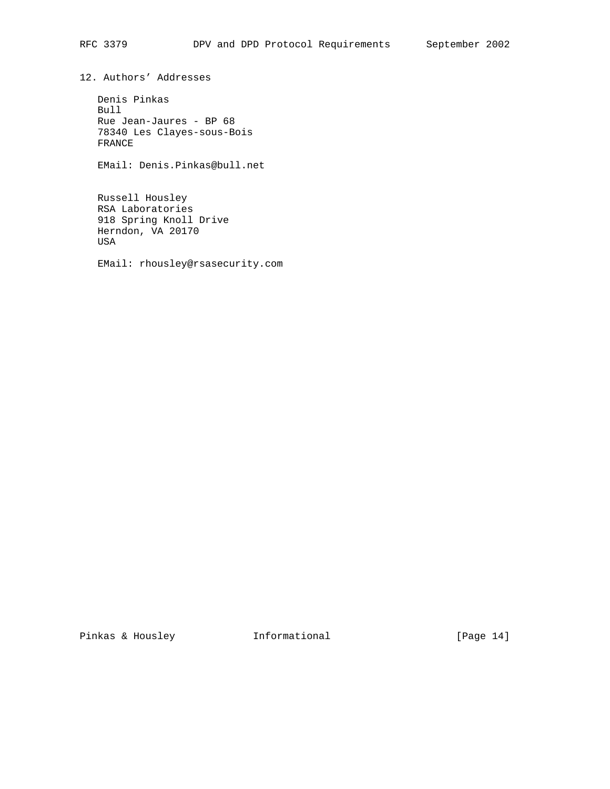12. Authors' Addresses

 Denis Pinkas Bull Rue Jean-Jaures - BP 68 78340 Les Clayes-sous-Bois FRANCE

EMail: Denis.Pinkas@bull.net

 Russell Housley RSA Laboratories 918 Spring Knoll Drive Herndon, VA 20170 USA

EMail: rhousley@rsasecurity.com